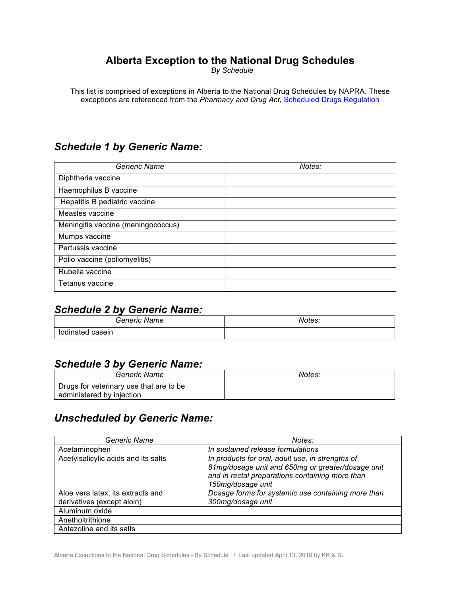# **Alberta Exception to the National Drug Schedules**

*By Schedule*

This list is comprised of exceptions in Alberta to the National Drug Schedules by NAPRA. These exceptions are referenced from the *Pharmacy and Drug Act*, Scheduled Drugs Regulation

# *Schedule 1 by Generic Name:*

| Generic Name                       | Notes: |
|------------------------------------|--------|
| Diphtheria vaccine                 |        |
| Haemophilus B vaccine              |        |
| Hepatitis B pediatric vaccine      |        |
| Measles vaccine                    |        |
| Meningitis vaccine (meningococcus) |        |
| Mumps vaccine                      |        |
| Pertussis vaccine                  |        |
| Polio vaccine (poliomyelitis)      |        |
| Rubella vaccine                    |        |
| Tetanus vaccine                    |        |

### *Schedule 2 by Generic Name:*

| Generic<br>Name   | Notes: |
|-------------------|--------|
| dinated<br>casein |        |

#### *Schedule 3 by Generic Name:*

| Generic Name                                                         | Notes: |
|----------------------------------------------------------------------|--------|
| Drugs for veterinary use that are to be<br>administered by injection |        |

### *Unscheduled by Generic Name:*

| Generic Name                        | Notes:                                                                                                                                                                        |
|-------------------------------------|-------------------------------------------------------------------------------------------------------------------------------------------------------------------------------|
| Acetaminophen                       | In sustained release formulations                                                                                                                                             |
| Acetylsalicylic acids and its salts | In products for oral, adult use, in strengths of<br>81mg/dosage unit and 650mg or greater/dosage unit<br>and in rectal preparations containing more than<br>150mg/dosage unit |
| Aloe vera latex, its extracts and   | Dosage forms for systemic use containing more than                                                                                                                            |
| derivatives (except aloin)          | 300mg/dosage unit                                                                                                                                                             |
| Aluminum oxide                      |                                                                                                                                                                               |
| Anetholtrithione                    |                                                                                                                                                                               |
| Antazoline and its salts            |                                                                                                                                                                               |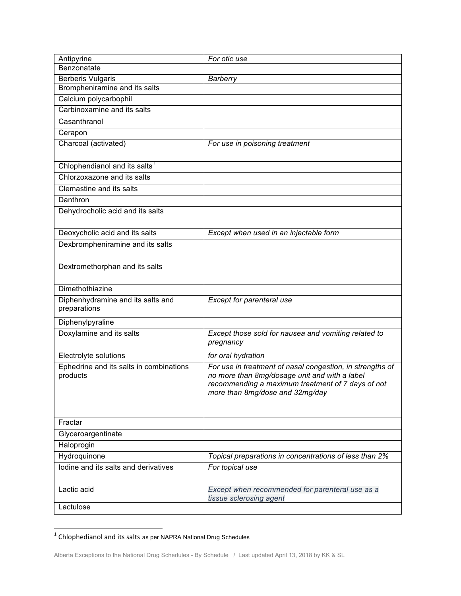| Antipyrine                                          | For otic use                                                                                                                                                                                       |
|-----------------------------------------------------|----------------------------------------------------------------------------------------------------------------------------------------------------------------------------------------------------|
| Benzonatate                                         |                                                                                                                                                                                                    |
| <b>Berberis Vulgaris</b>                            | <b>Barberry</b>                                                                                                                                                                                    |
| Brompheniramine and its salts                       |                                                                                                                                                                                                    |
| Calcium polycarbophil                               |                                                                                                                                                                                                    |
| Carbinoxamine and its salts                         |                                                                                                                                                                                                    |
| Casanthranol                                        |                                                                                                                                                                                                    |
| Cerapon                                             |                                                                                                                                                                                                    |
| Charcoal (activated)                                | For use in poisoning treatment                                                                                                                                                                     |
| Chlophendianol and its salts <sup>1</sup>           |                                                                                                                                                                                                    |
| Chlorzoxazone and its salts                         |                                                                                                                                                                                                    |
| Clemastine and its salts                            |                                                                                                                                                                                                    |
| Danthron                                            |                                                                                                                                                                                                    |
| Dehydrocholic acid and its salts                    |                                                                                                                                                                                                    |
| Deoxycholic acid and its salts                      | Except when used in an injectable form                                                                                                                                                             |
| Dexbrompheniramine and its salts                    |                                                                                                                                                                                                    |
| Dextromethorphan and its salts                      |                                                                                                                                                                                                    |
| Dimethothiazine                                     |                                                                                                                                                                                                    |
| Diphenhydramine and its salts and<br>preparations   | Except for parenteral use                                                                                                                                                                          |
| Diphenylpyraline                                    |                                                                                                                                                                                                    |
| Doxylamine and its salts                            | Except those sold for nausea and vomiting related to<br>pregnancy                                                                                                                                  |
| Electrolyte solutions                               | for oral hydration                                                                                                                                                                                 |
| Ephedrine and its salts in combinations<br>products | For use in treatment of nasal congestion, in strengths of<br>no more than 8mg/dosage unit and with a label<br>recommending a maximum treatment of 7 days of not<br>more than 8mg/dose and 32mg/day |
| Fractar                                             |                                                                                                                                                                                                    |
| Glyceroargentinate                                  |                                                                                                                                                                                                    |
| Haloprogin                                          |                                                                                                                                                                                                    |
| Hydroquinone                                        | Topical preparations in concentrations of less than 2%                                                                                                                                             |
| lodine and its salts and derivatives                | For topical use                                                                                                                                                                                    |
| Lactic acid                                         | Except when recommended for parenteral use as a<br>tissue sclerosing agent                                                                                                                         |
| Lactulose                                           |                                                                                                                                                                                                    |

 $^{\rm 1}$  Chlophedianol and its salts as per NAPRA National Drug Schedules

<u> 1989 - Johann Barn, mars ar breithinn ar chuid ann an t-</u>

Alberta Exceptions to the National Drug Schedules - By Schedule / Last updated April 13, 2018 by KK & SL